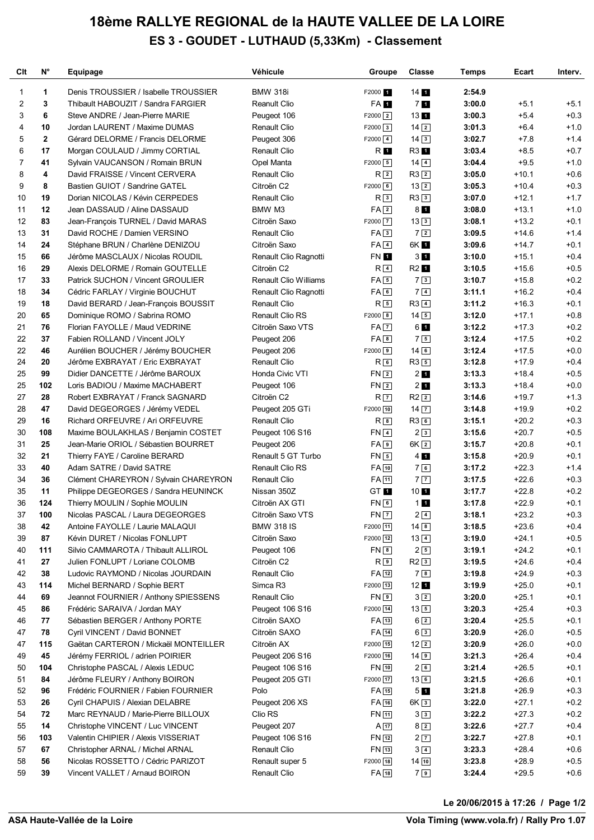## **18ème RALLYE REGIONAL de la HAUTE VALLEE DE LA LOIRE ES 3 - GOUDET - LUTHAUD (5,33Km) - Classement**

| Clt | $N^{\circ}$ | Equipage                              | Véhicule                     | Groupe               | <b>Classe</b>       | Temps  | Ecart   | Interv. |
|-----|-------------|---------------------------------------|------------------------------|----------------------|---------------------|--------|---------|---------|
| 1   | 1           | Denis TROUSSIER / Isabelle TROUSSIER  | <b>BMW 318i</b>              | F2000 1              | 14 <sub>1</sub>     | 2:54.9 |         |         |
| 2   | 3           | Thibault HABOUZIT / Sandra FARGIER    | Reanult Clio                 | FA <sub>1</sub>      | 7 <sub>1</sub>      | 3:00.0 | $+5.1$  | $+5.1$  |
| 3   | 6           | Steve ANDRE / Jean-Pierre MARIE       | Peugeot 106                  | $F2000$ <sup>2</sup> | 13 <sub>1</sub>     | 3:00.3 | $+5.4$  | $+0.3$  |
| 4   | 10          | Jordan LAURENT / Maxime DUMAS         | Renault Clio                 | $F2000$ 3            | $14\sqrt{2}$        | 3:01.3 | $+6.4$  | $+1.0$  |
| 5   | $\mathbf 2$ | Gérard DELORME / Francis DELORME      | Peugeot 306                  | $F2000$ 4            | $14\sqrt{3}$        | 3:02.7 | $+7.8$  | $+1.4$  |
| 6   | 17          | Morgan COULAUD / Jimmy CORTIAL        | Renault Clio                 | R 1                  | R3 1                | 3:03.4 | $+8.5$  | $+0.7$  |
| 7   | 41          | Sylvain VAUCANSON / Romain BRUN       | Opel Manta                   | $F2000$ 5            | $14\sqrt{4}$        | 3:04.4 | $+9.5$  | $+1.0$  |
| 8   | 4           | David FRAISSE / Vincent CERVERA       | <b>Renault Clio</b>          | R <sub>2</sub>       | $R3$ <sup>2</sup>   | 3:05.0 | $+10.1$ | $+0.6$  |
| 9   | 8           | Bastien GUIOT / Sandrine GATEL        | Citroën C2                   | $F2000$ 6            | $13\sqrt{2}$        | 3:05.3 | $+10.4$ | $+0.3$  |
| 10  | 19          | Dorian NICOLAS / Kévin CERPEDES       | <b>Renault Clio</b>          | R <sub>3</sub>       | $R3$ <sup>3</sup>   | 3:07.0 | $+12.1$ | $+1.7$  |
| 11  | 12          | Jean DASSAUD / Aline DASSAUD          | BMW M3                       | FA2                  | 8 <sub>1</sub>      | 3:08.0 | $+13.1$ | $+1.0$  |
| 12  | 83          | Jean-François TURNEL / David MARAS    | Citroën Saxo                 | $F2000$ 7            | $13\sqrt{3}$        | 3:08.1 | $+13.2$ | $+0.1$  |
| 13  | 31          | David ROCHE / Damien VERSINO          | <b>Renault Clio</b>          | FA3                  | 72                  | 3:09.5 | $+14.6$ | $+1.4$  |
| 14  | 24          | Stéphane BRUN / Charlène DENIZOU      | Citroën Saxo                 | $FA$ <sup>4</sup>    | 6K 1                | 3:09.6 | $+14.7$ | $+0.1$  |
| 15  | 66          | Jérôme MASCLAUX / Nicolas ROUDIL      | Renault Clio Ragnotti        | <b>FN1</b>           | 3 <sub>1</sub>      | 3:10.0 | $+15.1$ | $+0.4$  |
| 16  | 29          | Alexis DELORME / Romain GOUTELLE      | Citroën C2                   | R <sub>4</sub>       | R <sub>2</sub> 1    | 3:10.5 | $+15.6$ | $+0.5$  |
| 17  | 33          | Patrick SUCHON / Vincent GROULIER     | <b>Renault Clio Williams</b> | $FA\overline{5}$     | 73                  | 3:10.7 | $+15.8$ | $+0.2$  |
| 18  | 34          | Cédric FARLAY / Virginie BOUCHUT      | Renault Clio Ragnotti        | FA6                  | 7 <sup>4</sup>      | 3:11.1 | $+16.2$ | $+0.4$  |
| 19  | 18          | David BERARD / Jean-François BOUSSIT  | <b>Renault Clio</b>          | $R_{5}$              | $R3$ <sup>4</sup>   | 3:11.2 | $+16.3$ | $+0.1$  |
| 20  | 65          | Dominique ROMO / Sabrina ROMO         | Renault Clio RS              | $F2000$ 8            | $14\boxed{5}$       | 3:12.0 | $+17.1$ | $+0.8$  |
| 21  | 76          | Florian FAYOLLE / Maud VEDRINE        | Citroën Saxo VTS             | $FA$ $7$             | 6 1                 | 3:12.2 | $+17.3$ | $+0.2$  |
| 22  | 37          | Fabien ROLLAND / Vincent JOLY         | Peugeot 206                  | FA8                  | 75                  | 3:12.4 | $+17.5$ | $+0.2$  |
| 22  | 46          | Aurélien BOUCHER / Jérémy BOUCHER     | Peugeot 206                  | $F2000$ 9            | $14$ 6              | 3:12.4 | $+17.5$ | $+0.0$  |
| 24  | 20          | Jérôme EXBRAYAT / Eric EXBRAYAT       | Renault Clio                 | $R_{6}$              | $R3$ 5              | 3:12.8 | $+17.9$ | $+0.4$  |
| 25  | 99          | Didier DANCETTE / Jérôme BAROUX       | Honda Civic VTI              | FN <sub>2</sub>      | 2 <sub>1</sub>      | 3:13.3 | $+18.4$ | $+0.5$  |
| 25  | 102         | Loris BADIOU / Maxime MACHABERT       | Peugeot 106                  | FN <sub>2</sub>      | 2 <sub>1</sub>      | 3:13.3 | $+18.4$ | $+0.0$  |
| 27  | 28          | Robert EXBRAYAT / Franck SAGNARD      | Citroën C2                   | R <sub>7</sub>       | $R2$ <sup>2</sup>   | 3:14.6 | $+19.7$ | $+1.3$  |
| 28  | 47          | David DEGEORGES / Jérémy VEDEL        | Peugeot 205 GTi              | F2000 10             | $14$ $\boxed{7}$    | 3:14.8 | $+19.9$ | $+0.2$  |
| 29  | 16          | Richard ORFEUVRE / Ari ORFEUVRE       | <b>Renault Clio</b>          | $R_{8}$              | $R3$ 6              | 3:15.1 | $+20.2$ | $+0.3$  |
| 30  | 108         | Maxime BOULAKHLAS / Benjamin COSTET   | Peugeot 106 S16              | $FN$ <sup>4</sup>    | 23                  | 3:15.6 | $+20.7$ | $+0.5$  |
| 31  | 25          | Jean-Marie ORIOL / Sébastien BOURRET  | Peugeot 206                  | $FA$ <sup>9</sup>    | $6K$ $2$            | 3:15.7 | $+20.8$ | $+0.1$  |
| 32  | 21          | Thierry FAYE / Caroline BERARD        | Renault 5 GT Turbo           | $FN$ 5               | 4 <sub>1</sub>      | 3:15.8 | $+20.9$ | $+0.1$  |
| 33  | 40          | Adam SATRE / David SATRE              | <b>Renault Clio RS</b>       | FA 10                | 76                  | 3:17.2 | $+22.3$ | $+1.4$  |
| 34  | 36          | Clément CHAREYRON / Sylvain CHAREYRON | <b>Renault Clio</b>          | $FA$ $11$            | 7 <sub>7</sub>      | 3:17.5 | $+22.6$ | $+0.3$  |
| 35  | 11          | Philippe DEGEORGES / Sandra HEUNINCK  | Nissan 350Z                  | GT <sub>1</sub>      | $10$ $\blacksquare$ | 3:17.7 | $+22.8$ | $+0.2$  |
| 36  | 124         | Thierry MOULIN / Sophie MOULIN        | Citroën AX GTI               | $FN$ <sup>6</sup>    | 11                  | 3:17.8 | $+22.9$ | $+0.1$  |
| 37  | 100         | Nicolas PASCAL / Laura DEGEORGES      | Citroën Saxo VTS             | $FN$ $7$             | $2\sqrt{4}$         | 3:18.1 | $+23.2$ | $+0.3$  |
| 38  | 42          | Antoine FAYOLLE / Laurie MALAQUI      | <b>BMW 318 IS</b>            | F2000 11             | $14 \overline{\ }8$ | 3:18.5 | $+23.6$ | $+0.4$  |
| 39  | 87          | Kévin DURET / Nicolas FONLUPT         | Citroën Saxo                 | F2000 12             | $13\sqrt{4}$        | 3:19.0 | $+24.1$ | $+0.5$  |
| 40  | 111         | Silvio CAMMAROTA / Thibault ALLIROL   | Peugeot 106                  | $FN$ $8$             | $2\sqrt{5}$         | 3:19.1 | $+24.2$ | $+0.1$  |
| 41  | 27          | Julien FONLUPT / Loriane COLOMB       | Citroën C2                   | R <sub>9</sub>       | $R2$ 3              | 3:19.5 | $+24.6$ | $+0.4$  |
| 42  | 38          | Ludovic RAYMOND / Nicolas JOURDAIN    | Renault Clio                 | $FA$ [12]            | 78                  | 3:19.8 | $+24.9$ | $+0.3$  |
| 43  | 114         | Michel BERNARD / Sophie BERT          | Simca R3                     | F2000 13             | 12 <sub>1</sub>     | 3:19.9 | $+25.0$ | $+0.1$  |
| 44  | 69          | Jeannot FOURNIER / Anthony SPIESSENS  | Renault Clio                 | FN <sub>9</sub>      | $3\sqrt{2}$         | 3:20.0 | $+25.1$ | $+0.1$  |
| 45  | 86          | Frédéric SARAIVA / Jordan MAY         | Peugeot 106 S16              | F2000 14             | $13\boxed{5}$       | 3:20.3 | $+25.4$ | $+0.3$  |
| 46  | 77          | Sébastien BERGER / Anthony PORTE      | Citroën SAXO                 | $FA$ <sup>13</sup>   | $6\sqrt{2}$         | 3:20.4 | $+25.5$ | $+0.1$  |
| 47  | 78          | Cyril VINCENT / David BONNET          | Citroën SAXO                 | FA 14                | $6\sqrt{3}$         | 3:20.9 | $+26.0$ | $+0.5$  |
| 47  | 115         | Gaëtan CARTERON / Mickaël MONTEILLER  | Citroën AX                   | F2000 15             | $12\sqrt{2}$        | 3:20.9 | $+26.0$ | $+0.0$  |
| 49  | 45          | Jérémy FERRIOL / adrien POIRIER       | Peugeot 206 S16              | F2000 16             | $14$ 9              | 3:21.3 | $+26.4$ | $+0.4$  |
| 50  | 104         | Christophe PASCAL / Alexis LEDUC      | Peugeot 106 S16              | FN 10                | 26                  | 3:21.4 | $+26.5$ | $+0.1$  |
| 51  | 84          | Jérôme FLEURY / Anthony BOIRON        | Peugeot 205 GTI              | F2000 17             | $13$ 6              | 3:21.5 | $+26.6$ | $+0.1$  |
| 52  | 96          | Frédéric FOURNIER / Fabien FOURNIER   | Polo                         | FA 15                | 5 <sub>1</sub>      | 3:21.8 | $+26.9$ | $+0.3$  |
| 53  | 26          | Cyril CHAPUIS / Alexian DELABRE       | Peugeot 206 XS               | FA 16                | 6K <sub>3</sub>     | 3:22.0 | $+27.1$ | $+0.2$  |
| 54  | 72          | Marc REYNAUD / Marie-Pierre BILLOUX   | Clio RS                      | FN 11                | 3 <sup>3</sup>      | 3:22.2 | $+27.3$ | $+0.2$  |
| 55  | 14          | Christophe VINCENT / Luc VINCENT      | Peugeot 207                  | $A$ 17               | $8\sqrt{2}$         | 3:22.6 | $+27.7$ | $+0.4$  |
| 56  | 103         | Valentin CHIPIER / Alexis VISSERIAT   | Peugeot 106 S16              | FN 12                | 2 7                 | 3:22.7 | $+27.8$ | $+0.1$  |
| 57  | 67          | Christopher ARNAL / Michel ARNAL      | Renault Clio                 | FN 13                | $3\vert 4\rangle$   | 3:23.3 | $+28.4$ | $+0.6$  |
| 58  | 56          | Nicolas ROSSETTO / Cédric PARIZOT     | Renault super 5              | F2000 18             | $14$ $10$           | 3:23.8 | $+28.9$ | $+0.5$  |
| 59  | 39          | Vincent VALLET / Arnaud BOIRON        | Renault Clio                 | FA 18                | 79                  | 3:24.4 | $+29.5$ | $+0.6$  |
|     |             |                                       |                              |                      |                     |        |         |         |

<u>Volanda variante de la provincia de la provincia de la provincia de la provincia de la provincia de la provincia de la provincia de la provincia de la provincia de la provincia de la provincia de la provincia de la provin</u> **Le 20/06/2015 à 17:26 / Page 1/2**